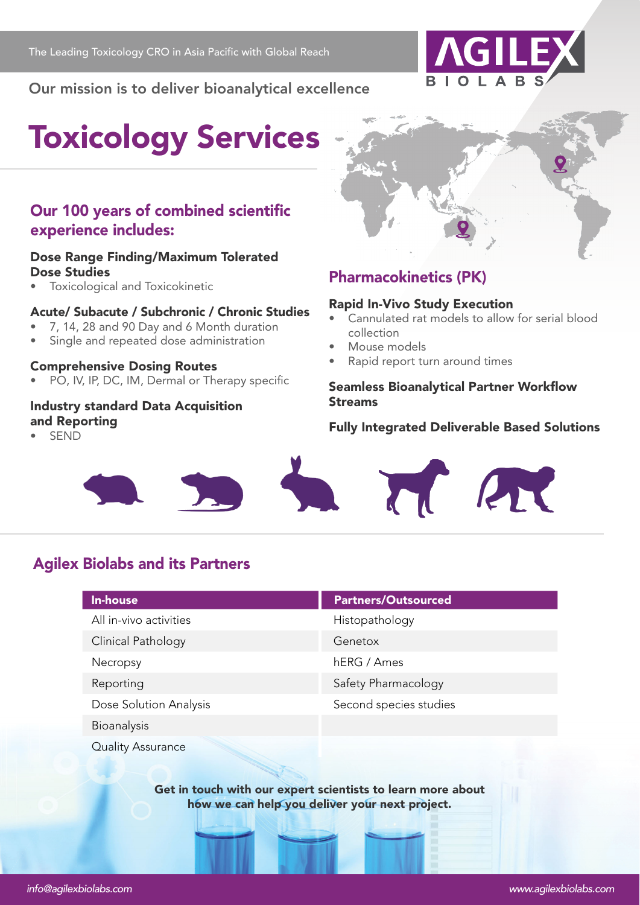

**Our mission is to deliver bioanalytical excellence**

# **Toxicology Services**

## **Our 100 years of combined scientific experience includes:**

#### **Dose Range Finding/Maximum Tolerated Dose Studies**

• Toxicological and Toxicokinetic

#### **Acute/ Subacute / Subchronic / Chronic Studies**

- 7, 14, 28 and 90 Day and 6 Month duration
- Single and repeated dose administration

#### **Comprehensive Dosing Routes**

• PO, IV, IP, DC, IM, Dermal or Therapy specific

#### **Industry standard Data Acquisition and Reporting**

• SEND



## **Pharmacokinetics (PK)**

#### **Rapid In-Vivo Study Execution**

- Cannulated rat models to allow for serial blood collection
- Mouse models
- Rapid report turn around times

#### **Seamless Bioanalytical Partner Workflow Streams**

#### **Fully Integrated Deliverable Based Solutions**



## **Agilex Biolabs and its Partners**

| <b>In-house</b>          | <b>Partners/Outsourced</b> |
|--------------------------|----------------------------|
| All in-vivo activities   | Histopathology             |
| Clinical Pathology       | Genetox                    |
| Necropsy                 | hERG / Ames                |
| Reporting                | Safety Pharmacology        |
| Dose Solution Analysis   | Second species studies     |
| Bioanalysis              |                            |
| <b>Quality Assurance</b> |                            |

**Get in touch with our expert scientists to learn more about how we can help you deliver your next project.**